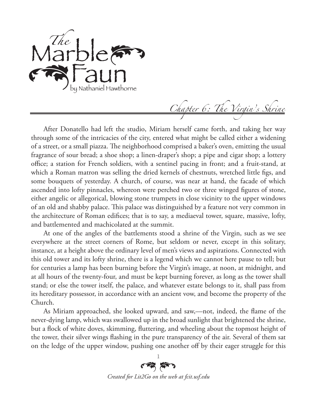

After Donatello had left the studio, Miriam herself came forth, and taking her way through some of the intricacies of the city, entered what might be called either a widening of a street, or a small piazza. The neighborhood comprised a baker's oven, emitting the usual fragrance of sour bread; a shoe shop; a linen-draper's shop; a pipe and cigar shop; a lottery office; a station for French soldiers, with a sentinel pacing in front; and a fruit-stand, at which a Roman matron was selling the dried kernels of chestnuts, wretched little figs, and some bouquets of yesterday. A church, of course, was near at hand, the facade of which ascended into lofty pinnacles, whereon were perched two or three winged figures of stone, either angelic or allegorical, blowing stone trumpets in close vicinity to the upper windows of an old and shabby palace. This palace was distinguished by a feature not very common in the architecture of Roman edifices; that is to say, a mediaeval tower, square, massive, lofty, and battlemented and machicolated at the summit.

*Chapter 6: The Virgin's Shrine*

At one of the angles of the battlements stood a shrine of the Virgin, such as we see everywhere at the street corners of Rome, but seldom or never, except in this solitary, instance, at a height above the ordinary level of men's views and aspirations. Connected with this old tower and its lofty shrine, there is a legend which we cannot here pause to tell; but for centuries a lamp has been burning before the Virgin's image, at noon, at midnight, and at all hours of the twenty-four, and must be kept burning forever, as long as the tower shall stand; or else the tower itself, the palace, and whatever estate belongs to it, shall pass from its hereditary possessor, in accordance with an ancient vow, and become the property of the Church.

As Miriam approached, she looked upward, and saw,—not, indeed, the flame of the never-dying lamp, which was swallowed up in the broad sunlight that brightened the shrine, but a flock of white doves, skimming, fluttering, and wheeling about the topmost height of the tower, their silver wings flashing in the pure transparency of the air. Several of them sat on the ledge of the upper window, pushing one another off by their eager struggle for this

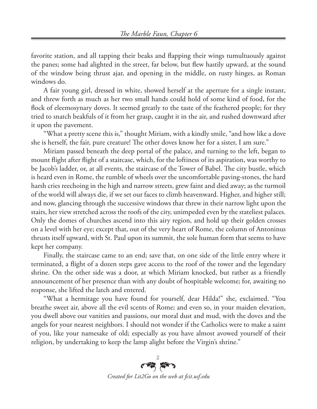favorite station, and all tapping their beaks and flapping their wings tumultuously against the panes; some had alighted in the street, far below, but flew hastily upward, at the sound of the window being thrust ajar, and opening in the middle, on rusty hinges, as Roman windows do.

A fair young girl, dressed in white, showed herself at the aperture for a single instant, and threw forth as much as her two small hands could hold of some kind of food, for the flock of eleemosynary doves. It seemed greatly to the taste of the feathered people; for they tried to snatch beakfuls of it from her grasp, caught it in the air, and rushed downward after it upon the pavement.

"What a pretty scene this is," thought Miriam, with a kindly smile, "and how like a dove she is herself, the fair, pure creature! The other doves know her for a sister, I am sure."

Miriam passed beneath the deep portal of the palace, and turning to the left, began to mount flight after flight of a staircase, which, for the loftiness of its aspiration, was worthy to be Jacob's ladder, or, at all events, the staircase of the Tower of Babel. The city bustle, which is heard even in Rome, the rumble of wheels over the uncomfortable paving-stones, the hard harsh cries reechoing in the high and narrow streets, grew faint and died away; as the turmoil of the world will always die, if we set our faces to climb heavenward. Higher, and higher still; and now, glancing through the successive windows that threw in their narrow light upon the stairs, her view stretched across the roofs of the city, unimpeded even by the stateliest palaces. Only the domes of churches ascend into this airy region, and hold up their golden crosses on a level with her eye; except that, out of the very heart of Rome, the column of Antoninus thrusts itself upward, with St. Paul upon its summit, the sole human form that seems to have kept her company.

Finally, the staircase came to an end; save that, on one side of the little entry where it terminated, a flight of a dozen steps gave access to the roof of the tower and the legendary shrine. On the other side was a door, at which Miriam knocked, but rather as a friendly announcement of her presence than with any doubt of hospitable welcome; for, awaiting no response, she lifted the latch and entered.

"What a hermitage you have found for yourself, dear Hilda!" she, exclaimed. "You breathe sweet air, above all the evil scents of Rome; and even so, in your maiden elevation, you dwell above our vanities and passions, our moral dust and mud, with the doves and the angels for your nearest neighbors. I should not wonder if the Catholics were to make a saint of you, like your namesake of old; especially as you have almost avowed yourself of their religion, by undertaking to keep the lamp alight before the Virgin's shrine."

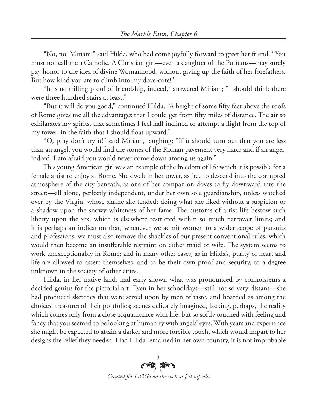"No, no, Miriam!" said Hilda, who had come joyfully forward to greet her friend. "You must not call me a Catholic. A Christian girl—even a daughter of the Puritans—may surely pay honor to the idea of divine Womanhood, without giving up the faith of her forefathers. But how kind you are to climb into my dove-cote!"

"It is no trifling proof of friendship, indeed," answered Miriam; "I should think there were three hundred stairs at least."

"But it will do you good," continued Hilda. "A height of some fifty feet above the roofs of Rome gives me all the advantages that I could get from fifty miles of distance. The air so exhilarates my spirits, that sometimes I feel half inclined to attempt a flight from the top of my tower, in the faith that I should float upward."

"O, pray don't try it!" said Miriam, laughing; "If it should turn out that you are less than an angel, you would find the stones of the Roman pavement very hard; and if an angel, indeed, I am afraid you would never come down among us again."

This young American girl was an example of the freedom of life which it is possible for a female artist to enjoy at Rome. She dwelt in her tower, as free to descend into the corrupted atmosphere of the city beneath, as one of her companion doves to fly downward into the street;—all alone, perfectly independent, under her own sole guardianship, unless watched over by the Virgin, whose shrine she tended; doing what she liked without a suspicion or a shadow upon the snowy whiteness of her fame. The customs of artist life bestow such liberty upon the sex, which is elsewhere restricted within so much narrower limits; and it is perhaps an indication that, whenever we admit women to a wider scope of pursuits and professions, we must also remove the shackles of our present conventional rules, which would then become an insufferable restraint on either maid or wife. The system seems to work unexceptionably in Rome; and in many other cases, as in Hilda's, purity of heart and life are allowed to assert themselves, and to be their own proof and security, to a degree unknown in the society of other cities.

Hilda, in her native land, had early shown what was pronounced by connoisseurs a decided genius for the pictorial art. Even in her schooldays—still not so very distant—she had produced sketches that were seized upon by men of taste, and hoarded as among the choicest treasures of their portfolios; scenes delicately imagined, lacking, perhaps, the reality which comes only from a close acquaintance with life, but so softly touched with feeling and fancy that you seemed to be looking at humanity with angels' eyes. With years and experience she might be expected to attain a darker and more forcible touch, which would impart to her designs the relief they needed. Had Hilda remained in her own country, it is not improbable

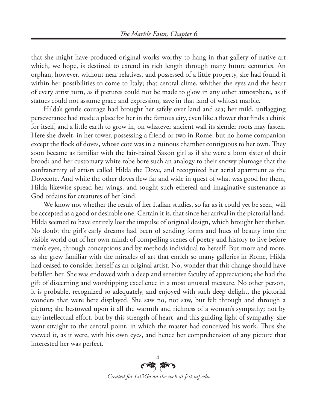that she might have produced original works worthy to hang in that gallery of native art which, we hope, is destined to extend its rich length through many future centuries. An orphan, however, without near relatives, and possessed of a little property, she had found it within her possibilities to come to Italy; that central clime, whither the eyes and the heart of every artist turn, as if pictures could not be made to glow in any other atmosphere, as if statues could not assume grace and expression, save in that land of whitest marble.

Hilda's gentle courage had brought her safely over land and sea; her mild, unflagging perseverance had made a place for her in the famous city, even like a flower that finds a chink for itself, and a little earth to grow in, on whatever ancient wall its slender roots may fasten. Here she dwelt, in her tower, possessing a friend or two in Rome, but no home companion except the flock of doves, whose cote was in a ruinous chamber contiguous to her own. They soon became as familiar with the fair-haired Saxon girl as if she were a born sister of their brood; and her customary white robe bore such an analogy to their snowy plumage that the confraternity of artists called Hilda the Dove, and recognized her aerial apartment as the Dovecote. And while the other doves flew far and wide in quest of what was good for them, Hilda likewise spread her wings, and sought such ethereal and imaginative sustenance as God ordains for creatures of her kind.

We know not whether the result of her Italian studies, so far as it could yet be seen, will be accepted as a good or desirable one. Certain it is, that since her arrival in the pictorial land, Hilda seemed to have entirely lost the impulse of original design, which brought her thither. No doubt the girl's early dreams had been of sending forms and hues of beauty into the visible world out of her own mind; of compelling scenes of poetry and history to live before men's eyes, through conceptions and by methods individual to herself. But more and more, as she grew familiar with the miracles of art that enrich so many galleries in Rome, Hilda had ceased to consider herself as an original artist. No, wonder that this change should have befallen her. She was endowed with a deep and sensitive faculty of appreciation; she had the gift of discerning and worshipping excellence in a most unusual measure. No other person, it is probable, recognized so adequately, and enjoyed with such deep delight, the pictorial wonders that were here displayed. She saw no, not saw, but felt through and through a picture; she bestowed upon it all the warmth and richness of a woman's sympathy; not by any intellectual effort, but by this strength of heart, and this guiding light of sympathy, she went straight to the central point, in which the master had conceived his work. Thus she viewed it, as it were, with his own eyes, and hence her comprehension of any picture that interested her was perfect.

دسط بین *Created for Lit2Go on the web at fcit.usf.edu*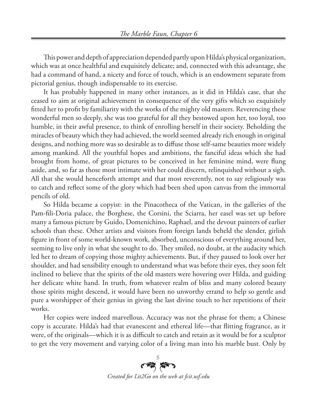This power and depth of appreciation depended partly upon Hilda's physical organization, which was at once healthful and exquisitely delicate; and, connected with this advantage, she had a command of hand, a nicety and force of touch, which is an endowment separate from pictorial genius, though indispensable to its exercise.

It has probably happened in many other instances, as it did in Hilda's case, that she ceased to aim at original achievement in consequence of the very gifts which so exquisitely fitted her to profit by familiarity with the works of the mighty old masters. Reverencing these wonderful men so deeply, she was too grateful for all they bestowed upon her, too loyal, too humble, in their awful presence, to think of enrolling herself in their society. Beholding the miracles of beauty which they had achieved, the world seemed already rich enough in original designs, and nothing more was so desirable as to diffuse those self-same beauties more widely among mankind. All the youthful hopes and ambitions, the fanciful ideas which she had brought from home, of great pictures to be conceived in her feminine mind, were flung aside, and, so far as those most intimate with her could discern, relinquished without a sigh. All that she would henceforth attempt and that most reverently, not to say religiously was to catch and reflect some of the glory which had been shed upon canvas from the immortal pencils of old.

So Hilda became a copyist: in the Pinacotheca of the Vatican, in the galleries of the Pam-fili-Doria palace, the Borghese, the Corsini, the Sciarra, her easel was set up before many a famous picture by Guido, Domenichino, Raphael, and the devout painters of earlier schools than these. Other artists and visitors from foreign lands beheld the slender, girlish figure in front of some world-known work, absorbed, unconscious of everything around her, seeming to live only in what she sought to do. They smiled, no doubt, at the audacity which led her to dream of copying those mighty achievements. But, if they paused to look over her shoulder, and had sensibility enough to understand what was before their eyes, they soon felt inclined to believe that the spirits of the old masters were hovering over Hilda, and guiding her delicate white hand. In truth, from whatever realm of bliss and many colored beauty those spirits might descend, it would have been no unworthy errand to help so gentle and pure a worshipper of their genius in giving the last divine touch to her repetitions of their works.

Her copies were indeed marvellous. Accuracy was not the phrase for them; a Chinese copy is accurate. Hilda's had that evanescent and ethereal life—that flitting fragrance, as it were, of the originals—which it is as difficult to catch and retain as it would be for a sculptor to get the very movement and varying color of a living man into his marble bust. Only by

 $\left( \frac{5}{100} \right)$ *Created for Lit2Go on the web at fcit.usf.edu*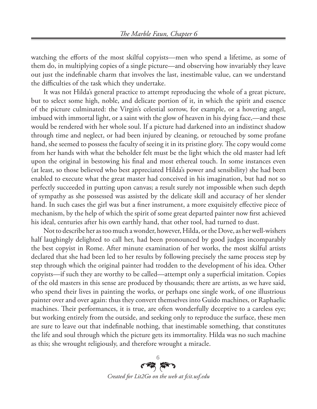watching the efforts of the most skilful copyists—men who spend a lifetime, as some of them do, in multiplying copies of a single picture—and observing how invariably they leave out just the indefinable charm that involves the last, inestimable value, can we understand the difficulties of the task which they undertake.

It was not Hilda's general practice to attempt reproducing the whole of a great picture, but to select some high, noble, and delicate portion of it, in which the spirit and essence of the picture culminated: the Virgin's celestial sorrow, for example, or a hovering angel, imbued with immortal light, or a saint with the glow of heaven in his dying face,—and these would be rendered with her whole soul. If a picture had darkened into an indistinct shadow through time and neglect, or had been injured by cleaning, or retouched by some profane hand, she seemed to possess the faculty of seeing it in its pristine glory. The copy would come from her hands with what the beholder felt must be the light which the old master had left upon the original in bestowing his final and most ethereal touch. In some instances even (at least, so those believed who best appreciated Hilda's power and sensibility) she had been enabled to execute what the great master had conceived in his imagination, but had not so perfectly succeeded in putting upon canvas; a result surely not impossible when such depth of sympathy as she possessed was assisted by the delicate skill and accuracy of her slender hand. In such cases the girl was but a finer instrument, a more exquisitely effective piece of mechanism, by the help of which the spirit of some great departed painter now first achieved his ideal, centuries after his own earthly hand, that other tool, had turned to dust.

Not to describe her as too much a wonder, however, Hilda, or the Dove, as her well-wishers half laughingly delighted to call her, had been pronounced by good judges incomparably the best copyist in Rome. After minute examination of her works, the most skilful artists declared that she had been led to her results by following precisely the same process step by step through which the original painter had trodden to the development of his idea. Other copyists—if such they are worthy to be called—attempt only a superficial imitation. Copies of the old masters in this sense are produced by thousands; there are artists, as we have said, who spend their lives in painting the works, or perhaps one single work, of one illustrious painter over and over again: thus they convert themselves into Guido machines, or Raphaelic machines. Their performances, it is true, are often wonderfully deceptive to a careless eye; but working entirely from the outside, and seeking only to reproduce the surface, these men are sure to leave out that indefinable nothing, that inestimable something, that constitutes the life and soul through which the picture gets its immortality. Hilda was no such machine as this; she wrought religiously, and therefore wrought a miracle.

وسط بين *Created for Lit2Go on the web at fcit.usf.edu*